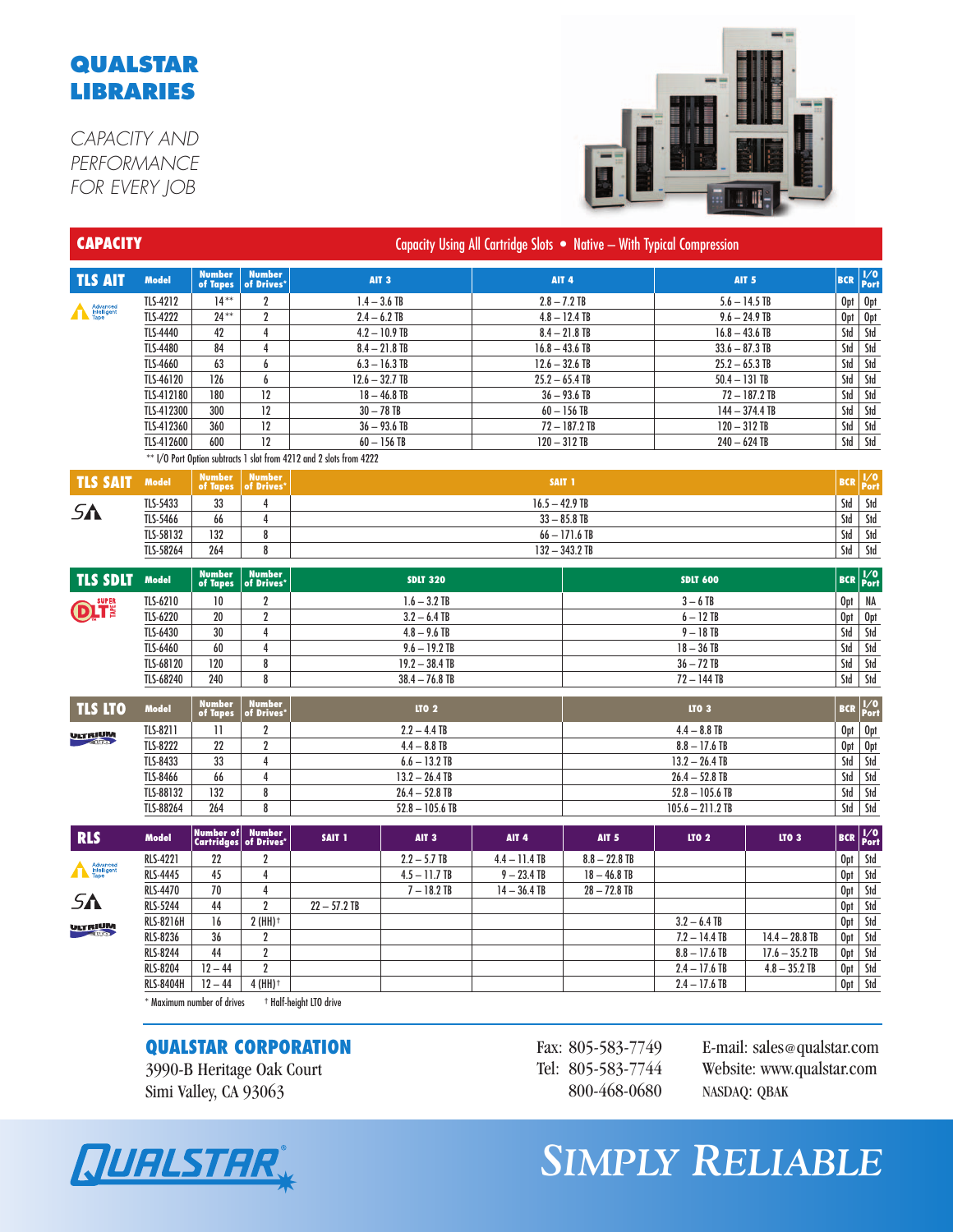## **QUALSTAR LIBRARIES**

*CAPACITY AND PERFORMANCE FOR EVERY JOB*



| <b>CAPACITY</b>         |                  |                            |                             | Capacity Using All Cartridge Slots • Native - With Typical Compression |                  |                 |                                   |                    |                  |            |                              |
|-------------------------|------------------|----------------------------|-----------------------------|------------------------------------------------------------------------|------------------|-----------------|-----------------------------------|--------------------|------------------|------------|------------------------------|
| <b>TLS AIT</b>          | <b>Model</b>     | <b>Number</b><br>of Tapes  | <b>Number</b><br>of Drives* |                                                                        | AIT <sub>3</sub> |                 | AIT <sub>4</sub>                  |                    | <b>AIT 5</b>     | <b>BCR</b> | $\sqrt{\frac{1}{2}}$<br>Port |
|                         | <b>TLS-4212</b>  | $14***$                    | $\overline{2}$              | $1.4 - 3.6$ TB                                                         |                  |                 | $2.8 - 7.2$ TB                    |                    | $5.6 - 14.5$ TB  |            | Opt<br>0pt                   |
| Advanced<br>Tape        | <b>TLS-4222</b>  | $24***$                    | $\overline{2}$              |                                                                        | $2.4 - 6.2$ TB   |                 | $4.8 - 12.4$ TB                   |                    | $9.6 - 24.9$ TB  | Opt        | 0pt                          |
|                         | TLS-4440         | 42                         | 4                           |                                                                        | $4.2 - 10.9$ TB  |                 | $8.4 - 21.8$ TB                   | $16.8 - 43.6$ TB   |                  | Std        | Std                          |
|                         | TLS-4480         | 84                         | $\overline{4}$              |                                                                        | $8.4 - 21.8$ TB  |                 | $16.8 - 43.6$ TB                  | $33.6 - 87.3$ TB   |                  | Std        | Std                          |
|                         | TLS-4660         | 63                         | 6                           |                                                                        | $6.3 - 16.3$ TB  |                 | $12.6 - 32.6$ TB                  | $25.2 - 65.3$ TB   |                  | Std        | Std                          |
|                         | TLS-46120        | 126                        | 6                           |                                                                        | $12.6 - 32.7$ TB |                 | $25.2 - 65.4$ TB                  | $50.4 - 131$ TB    |                  | Std        | Std                          |
|                         | TLS-412180       | 180                        | 12                          |                                                                        | $18 - 46.8$ TB   |                 | $36 - 93.6$ TB                    |                    | $72 - 187.2$ TB  | Std        | Std                          |
|                         | TLS-412300       | 300                        | 12                          |                                                                        | $30 - 78$ TB     |                 | $60 - 156$ TB                     |                    | $144 - 374.4$ TB | Std        | Std                          |
|                         | TLS-412360       | 360                        | 12                          |                                                                        | $36 - 93.6$ TB   |                 | $72 - 187.2$ TB<br>$120 - 312$ TB |                    |                  | Std        | Std                          |
|                         | TLS-412600       | 600                        | 12                          |                                                                        | $60 - 156$ TB    |                 | $120 - 312$ TB<br>$240 - 624$ TB  |                    |                  | Std        | Std                          |
|                         |                  |                            |                             | ** I/O Port Option subtracts 1 slot from 4212 and 2 slots from 4222    |                  |                 |                                   |                    |                  |            |                              |
| <b>TLS SAIT</b>         | <b>Model</b>     | <b>Number</b><br>of Tapes  | <b>Number</b><br>of Drives' |                                                                        |                  |                 | SAIT <sub>1</sub>                 |                    |                  | <b>BCR</b> | $\frac{1}{0}$                |
| 5Λ                      | TLS-5433         | 33                         | 4                           |                                                                        |                  |                 | $16.5 - 42.9$ TB                  |                    |                  |            | Std                          |
|                         | TLS-5466         | 66                         | 4                           |                                                                        |                  |                 | $33 - 85.8$ TB                    |                    |                  |            | Std                          |
|                         | TLS-58132        | 132                        | 8                           |                                                                        |                  |                 | $66 - 171.6$ TB                   |                    |                  | Std<br>Std | Std                          |
|                         | TLS-58264        | 264                        | 8                           |                                                                        |                  |                 | $132 - 343.2$ TB                  |                    |                  |            | Std                          |
| <b>TLS SDLT</b>         | <b>Model</b>     | <b>Number</b><br>of Tapes  | <b>Number</b><br>of Drives' |                                                                        | <b>SDLT 320</b>  |                 |                                   | <b>SDLT 600</b>    |                  |            | <b>BCR</b> Port              |
|                         | TLS-6210         | 10                         | $\overline{2}$              |                                                                        | $1.6 - 3.2$ TB   |                 | $3-6$ TB                          |                    |                  | 0pt        | NA                           |
| <b>DITE</b>             | TLS-6220         | 20                         | $\boldsymbol{2}$            | $3.2 - 6.4$ TB                                                         |                  |                 | $6 - 12$ TB                       |                    |                  | Opt        | Opt                          |
|                         | TLS-6430         | 30                         | 4                           | $4.8 - 9.6$ TB                                                         |                  |                 | $9 - 18$ TB                       |                    |                  | Std        | Std                          |
|                         | TLS-6460         | 60                         | 4                           | $9.6 - 19.2$ TB                                                        |                  |                 | $18 - 36$ TB                      |                    |                  | Std        | Std                          |
|                         | TLS-68120        | 120                        | 8                           | $19.2 - 38.4$ TB                                                       |                  |                 | $36 - 72$ TB                      |                    |                  | Std        | Std                          |
|                         | TLS-68240        | 240                        | 8                           | $38.4 - 76.8$ TB                                                       |                  |                 | $72 - 144$ TB                     |                    |                  |            | Std                          |
| <b>TLS LTO</b>          | <b>Model</b>     | <b>Number</b><br>of Tapes  | Number<br>'of Drives        |                                                                        | <b>LTO 2</b>     |                 |                                   | <b>LTO 3</b>       |                  | <b>BCR</b> | $\sqrt{\frac{1}{2}}$<br>Port |
| <b>ULTRIUM</b>          | TLS-8211         | $\mathbf{1}$               | $\overline{2}$              | $2.2 - 4.4$ TB                                                         |                  |                 | $4.4 - 8.8$ TB                    |                    |                  |            | Opt<br>0pt                   |
|                         | <b>TLS-8222</b>  | 22                         | $\overline{2}$              | $4.4 - 8.8$ TB                                                         |                  |                 | $8.8 - 17.6$ TB                   |                    |                  | Opt        | 0pt                          |
|                         | TLS-8433         | 33                         | 4                           | $6.6 - 13.2$ TB                                                        |                  |                 | $13.2 - 26.4$ TB                  |                    |                  | Std        | $ \mathsf{S}$ td             |
|                         | TLS-8466         | 66                         | 4                           | $13.2 - 26.4$ TB                                                       |                  |                 | $26.4 - 52.8$ TB                  |                    |                  | Std        | Std                          |
|                         | TLS-88132        | 132                        | 8                           | $26.4 - 52.8$ TB                                                       |                  |                 | $52.8 - 105.6$ TB                 |                    |                  | Std<br>Std | Std                          |
|                         | TLS-88264        | 264                        | 8                           | $52.8 - 105.6$ TB                                                      |                  |                 | $105.6 - 211.2$ TB                |                    |                  |            | Std                          |
| <b>RLS</b>              | <b>Model</b>     | Number of<br>Cartridges    | <b>Number</b><br>of Drives* | SAIT <sub>1</sub>                                                      | AIT <sub>3</sub> | <b>AIT 4</b>    | AIT <sub>5</sub>                  | $\overline{110}$ 2 | <b>LTO 3</b>     | <b>BCR</b> | $\sqrt{\frac{1}{2}}$<br>Port |
|                         | <b>RLS-4221</b>  | 22                         | 2                           |                                                                        | $2.2 - 5.7$ TB   | $4.4 - 11.4$ TB | $8.8 - 22.8$ TB                   |                    |                  | Opt        | Std                          |
| Advanced<br>Intelligent | <b>RLS-4445</b>  | 45                         | 4                           |                                                                        | $4.5 - 11.7$ TB  | $9 - 23.4$ TB   | $18 - 46.8$ TB                    |                    |                  | Opt        | Std                          |
| 5Λ<br><b>ULTRIUM</b>    | <b>RLS-4470</b>  | 70                         | $\overline{4}$              |                                                                        | $7 - 18.2$ TB    | $14 - 36.4$ TB  | $28 - 72.8$ TB                    |                    |                  | 0pt        | Std                          |
|                         | <b>RLS-5244</b>  | 44                         | $\overline{2}$              | $22 - 57.2$ TB                                                         |                  |                 |                                   |                    |                  | 0pt        | Std                          |
|                         | <b>RLS-8216H</b> | 16                         | $2$ (HH) <sup>+</sup>       |                                                                        |                  |                 |                                   | $3.2 - 6.4$ TB     |                  | 0pt        | Std                          |
|                         | <b>RLS-8236</b>  | 36                         | 2                           |                                                                        |                  |                 |                                   | $7.2 - 14.4$ TB    | $14.4 - 28.8$ TB | 0pt        | Std                          |
|                         | <b>RLS-8244</b>  | 44                         | $\overline{\mathbf{2}}$     |                                                                        |                  |                 |                                   | $8.8 - 17.6$ TB    | $17.6 - 35.2$ TB | 0pt        | Std                          |
|                         | <b>RLS-8204</b>  | $12 - 44$                  | $\boldsymbol{2}$            |                                                                        |                  |                 |                                   | $2.4 - 17.6$ TB    | $4.8 - 35.2$ TB  | 0pt        | Std                          |
|                         | <b>RLS-8404H</b> | $12 - 44$                  | $4$ (HH) <sup>+</sup>       |                                                                        |                  |                 |                                   | $2.4 - 17.6$ TB    |                  | Opt        | Std                          |
|                         |                  | * Maximum number of drives |                             | <sup>†</sup> Half-height LTO drive                                     |                  |                 |                                   |                    |                  |            |                              |

## **QUALSTAR CORPORATION**

3990-B Heritage Oak Court Simi Valley, CA 93063

Fax: 805-583-7749 Tel: 805-583-7744 800-468-0680

E-mail: sales@qualstar.com Website: www.qualstar.com NASDAQ: QBAK



*SIMPLY RELIABLE*